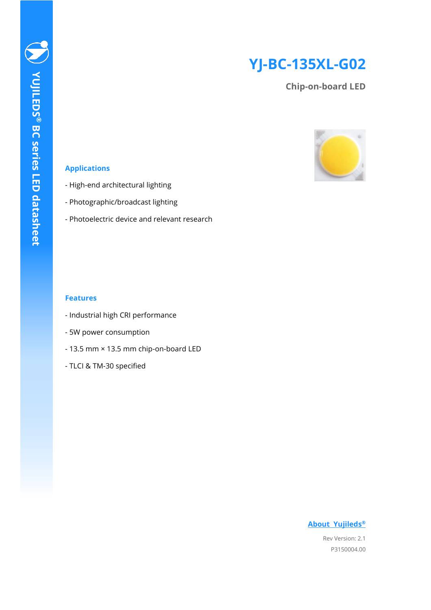# **YJ-BC-135XL-G02**

**Chip-on-board LED**



### **Applications**

- High-end architectural lighting
- Photographic/broadcast lighting
- Photoelectric device and relevant research

### **Features**

- Industrial high CRI performance
- 5W power consumption
- 13.5 mm × 13.5 mm chip-on-board LED
- TLCI & TM-30 specified

# **[About Yujileds](#page-12-0)®**

Rev Version: 2.1 P3150004.00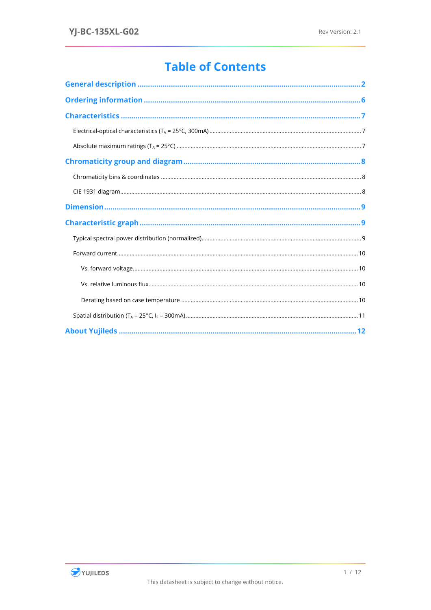# **Table of Contents**

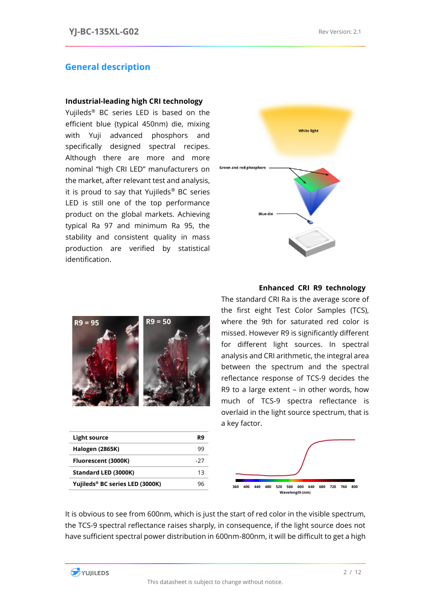### <span id="page-2-0"></span>**General description**

### **Industrial-leading high CRI technology**

Yujileds® BC series LED is based on the efficient blue (typical 450nm) die, mixing with Yuji advanced phosphors and specifically designed spectral recipes. Although there are more and more nominal "high CRI LED" manufacturers on the market, after relevant test and analysis, it is proud to say that Yujileds<sup>®</sup> BC series LED is still one of the top performance product on the global markets. Achieving typical Ra 97 and minimum Ra 95, the stability and consistent quality in mass production are verified by statistical identification.



### **Enhanced CRI R9 technology**



| Light source                    | R9  |
|---------------------------------|-----|
| <b>Halogen (2865K)</b>          | 99  |
| Fluorescent (3000K)             | -27 |
| Standard LED (3000K)            | 13  |
| Yujileds® BC series LED (3000K) | чh  |

The standard CRI Ra is the average score of the first eight Test Color Samples (TCS), where the 9th for saturated red color is missed. However R9 is significantly different for different light sources. In spectral analysis and CRI arithmetic, the integral area between the spectrum and the spectral reflectance response of TCS-9 decides the R9 to a large extent – in other words, how much of TCS-9 spectra reflectance is overlaid in the light source spectrum, that is a key factor.



It is obvious to see from 600nm, which is just the start of red color in the visible spectrum, the TCS-9 spectral reflectance raises sharply, in consequence, if the light source does not have sufficient spectral power distribution in 600nm-800nm, it will be difficult to get a high

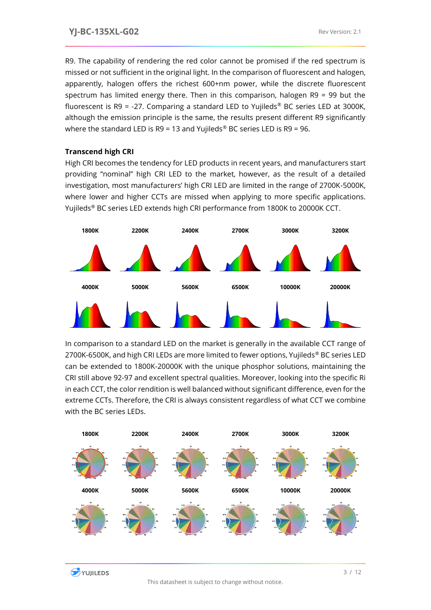R9. The capability of rendering the red color cannot be promised if the red spectrum is missed or not sufficient in the original light. In the comparison of fluorescent and halogen, apparently, halogen offers the richest 600+nm power, while the discrete fluorescent spectrum has limited energy there. Then in this comparison, halogen R9 = 99 but the fluorescent is  $R9 = -27$ . Comparing a standard LED to Yujileds<sup>®</sup> BC series LED at 3000K, although the emission principle is the same, the results present different R9 significantly where the standard LED is R9 = 13 and Yujileds® BC series LED is R9 = 96.

## **Transcend high CRI**

High CRI becomes the tendency for LED products in recent years, and manufacturers start providing "nominal" high CRI LED to the market, however, as the result of a detailed investigation, most manufacturers' high CRI LED are limited in the range of 2700K-5000K, where lower and higher CCTs are missed when applying to more specific applications. Yujileds® BC series LED extends high CRI performance from 1800K to 20000K CCT.



In comparison to a standard LED on the market is generally in the available CCT range of 2700K-6500K, and high CRI LEDs are more limited to fewer options, Yujileds® BC series LED can be extended to 1800K-20000K with the unique phosphor solutions, maintaining the CRI still above 92-97 and excellent spectral qualities. Moreover, looking into the specific Ri in each CCT, the color rendition is well balanced without significant difference, even for the extreme CCTs. Therefore, the CRI is always consistent regardless of what CCT we combine with the BC series LEDs.

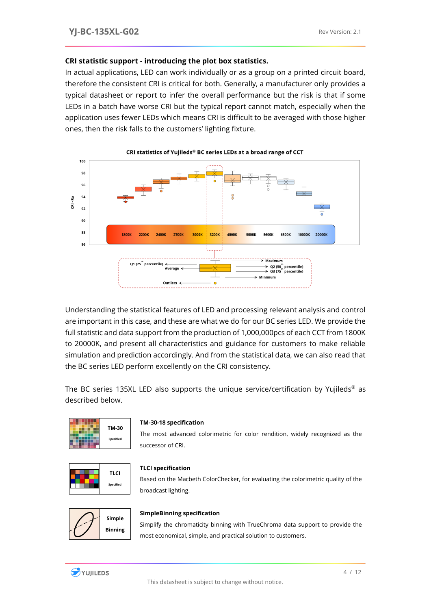### **CRI statistic support - introducing the plot box statistics.**

In actual applications, LED can work individually or as a group on a printed circuit board, therefore the consistent CRI is critical for both. Generally, a manufacturer only provides a typical datasheet or report to infer the overall performance but the risk is that if some LEDs in a batch have worse CRI but the typical report cannot match, especially when the application uses fewer LEDs which means CRI is difficult to be averaged with those higher ones, then the risk falls to the customers' lighting fixture.



#### CRI statistics of Yujileds® BC series LEDs at a broad range of CCT

Understanding the statistical features of LED and processing relevant analysis and control are important in this case, and these are what we do for our BC series LED. We provide the full statistic and data support from the production of 1,000,000pcs of each CCT from 1800K to 20000K, and present all characteristics and guidance for customers to make reliable simulation and prediction accordingly. And from the statistical data, we can also read that the BC series LED perform excellently on the CRI consistency.

The BC series 135XL LED also supports the unique service/certification by Yujileds<sup>®</sup> as described below.



#### **TM-30-18 specification**

The most advanced colorimetric for color rendition, widely recognized as the successor of CRI.



#### **TLCI specification**

Based on the Macbeth ColorChecker, for evaluating the colorimetric quality of the broadcast lighting.



### **SimpleBinning specification**

Simplify the chromaticity binning with TrueChroma data support to provide the most economical, simple, and practical solution to customers.

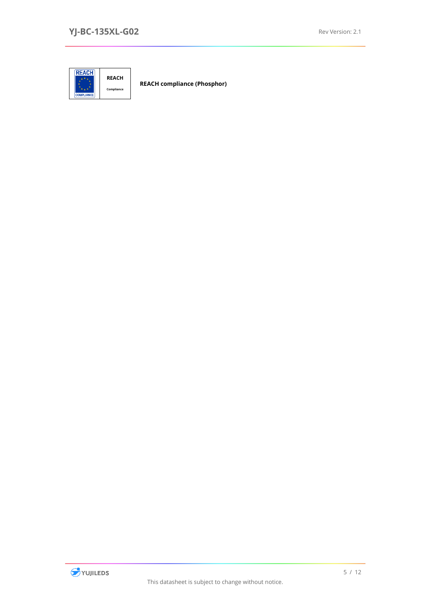

**REACH compliance (Phosphor)**

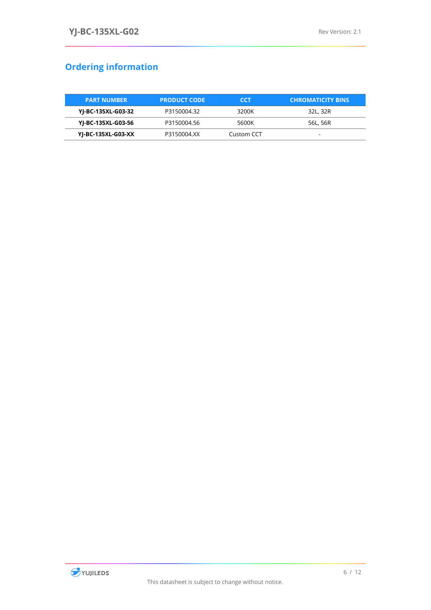# <span id="page-6-0"></span>**Ordering information**

| <b>PART NUMBER</b> | <b>PRODUCT CODE</b> | CCT        | <b>CHROMATICITY BINS</b> |
|--------------------|---------------------|------------|--------------------------|
| YJ-BC-135XL-G03-32 | P3150004.32         | 3200K      | 32L, 32R                 |
| YJ-BC-135XL-G03-56 | P3150004.56         | 5600K      | 56L, 56R                 |
| YJ-BC-135XL-G03-XX | P3150004.XX         | Custom CCT |                          |

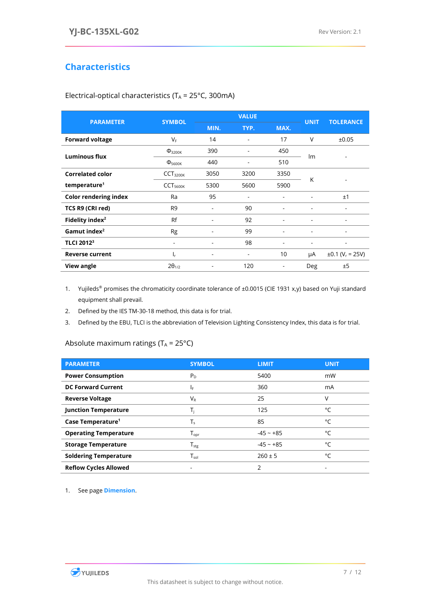# <span id="page-7-0"></span>**Characteristics**

| <b>PARAMETER</b>             | <b>SYMBOL</b>           |                          | <b>VALUE</b> | <b>UNIT</b>              | <b>TOLERANCE</b>         |                                  |  |
|------------------------------|-------------------------|--------------------------|--------------|--------------------------|--------------------------|----------------------------------|--|
|                              |                         | MIN.<br>TYP.             |              | MAX.                     |                          |                                  |  |
| <b>Forward voltage</b>       | $V_F$                   | 14                       | ۰            | 17                       | $\vee$                   | ±0.05                            |  |
| <b>Luminous flux</b>         | $\Phi$ <sub>3200K</sub> | 390                      |              | 450                      | Im                       |                                  |  |
|                              | $\Phi_{5600K}$          | 440                      |              | 510                      |                          |                                  |  |
| <b>Correlated color</b>      | CCT <sub>3200K</sub>    | 3050                     | 3200         | 3350                     | K                        |                                  |  |
| temperature <sup>1</sup>     | CCT <sub>5600K</sub>    | 5300                     | 5600         | 5900                     |                          |                                  |  |
| <b>Color rendering index</b> | Ra                      | 95                       |              |                          |                          | ±1                               |  |
| TCS R9 (CRI red)             | R <sub>9</sub>          | $\overline{\phantom{a}}$ | 90           | ٠                        | $\overline{\phantom{a}}$ | $\overline{\phantom{a}}$         |  |
| Fidelity index <sup>2</sup>  | Rf                      |                          | 92           |                          |                          |                                  |  |
| Gamut index <sup>2</sup>     | Rg                      |                          | 99           |                          |                          |                                  |  |
| <b>TLCI 20123</b>            | ٠                       |                          | 98           |                          | ٠                        | ٠                                |  |
| <b>Reverse current</b>       | Ir.                     | $\overline{\phantom{0}}$ | ۰            | 10                       | μA                       | $\pm 0.1$ (V <sub>r</sub> = 25V) |  |
| <b>View angle</b>            | $2\theta_{1/2}$         |                          | 120          | $\overline{\phantom{a}}$ | <b>Deg</b>               | ±5                               |  |
|                              |                         |                          |              |                          |                          |                                  |  |

<span id="page-7-1"></span>Electrical-optical characteristics ( $T_A = 25^{\circ}$ C, 300mA)

1. Yujileds® promises the chromaticity coordinate tolerance of ±0.0015 (CIE 1931 x,y) based on Yuji standard equipment shall prevail.

2. Defined by the IES TM-30-18 method, this data is for trial.

<span id="page-7-2"></span>3. Defined by the EBU, TLCI is the abbreviation of Television Lighting Consistency Index, this data is for trial.

### Absolute maximum ratings ( $T_A = 25^{\circ}C$ )

| <b>PARAMETER</b>              | <b>SYMBOL</b>                | <b>LIMIT</b> | <b>UNIT</b> |
|-------------------------------|------------------------------|--------------|-------------|
| <b>Power Consumption</b>      | $P_{D}$                      | 5400         | mW          |
| <b>DC Forward Current</b>     | IF.                          | 360          | mA          |
| <b>Reverse Voltage</b>        | $V_{R}$                      | 25           | ٧           |
| <b>Junction Temperature</b>   | T,                           | 125          | °۲          |
| Case Temperature <sup>1</sup> | T,                           | 85           | °C          |
| <b>Operating Temperature</b>  | $\mathsf{T}_{\mathsf{opr}}$  | $-45 - +85$  | °۲          |
| <b>Storage Temperature</b>    | ${\mathsf T}_{\textsf{stg}}$ | $-45 - +85$  | °C          |
| <b>Soldering Temperature</b>  | $\mathsf{T}_{\mathsf{sol}}$  | $260 \pm 5$  | °C          |
| <b>Reflow Cycles Allowed</b>  | ۰                            | C            |             |

1. See page **Dimension**.

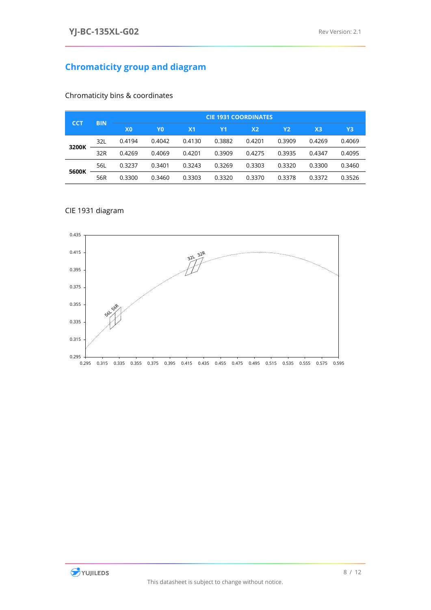# <span id="page-8-0"></span>**Chromaticity group and diagram**

| <b>ICCT</b> | <b>BIN</b> | <b>CIE 1931 COORDINATES</b> |        |                |           |                |           |                |        |
|-------------|------------|-----------------------------|--------|----------------|-----------|----------------|-----------|----------------|--------|
|             |            | X <sub>0</sub>              | Y0     | X <sub>1</sub> | <b>Y1</b> | X <sub>2</sub> | <b>Y2</b> | X <sub>3</sub> | Y3     |
| 3200K       | 32L        | 0.4194                      | 0.4042 | 0.4130         | 0.3882    | 0.4201         | 0.3909    | 0.4269         | 0.4069 |
|             | 32R        | 0.4269                      | 0.4069 | 0.4201         | 0.3909    | 0.4275         | 0.3935    | 0.4347         | 0.4095 |
| 5600K       | 56L        | 0.3237                      | 0.3401 | 0.3243         | 0.3269    | 0.3303         | 0.3320    | 0.3300         | 0.3460 |
|             | 56R        | 0.3300                      | 0.3460 | 0.3303         | 0.3320    | 0.3370         | 0.3378    | 0.3372         | 0.3526 |

## <span id="page-8-1"></span>Chromaticity bins & coordinates

### <span id="page-8-2"></span>CIE 1931 diagram



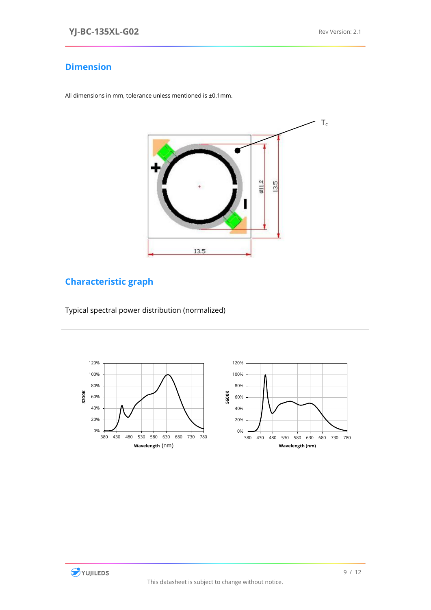### <span id="page-9-0"></span>**Dimension**

All dimensions in mm, tolerance unless mentioned is ±0.1mm.



# <span id="page-9-1"></span>**Characteristic graph**

<span id="page-9-2"></span>Typical spectral power distribution (normalized)





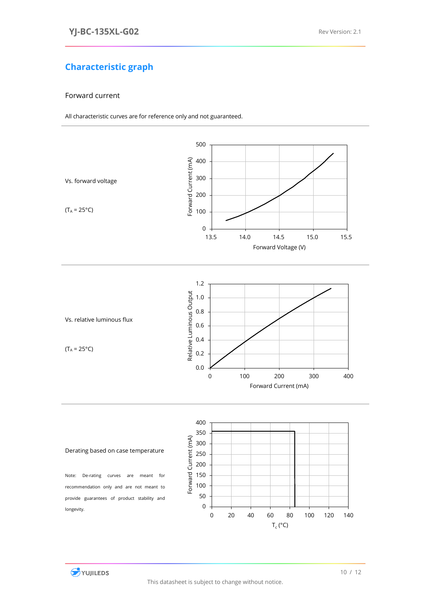# **Characteristic graph**

### <span id="page-10-0"></span>Forward current

All characteristic curves are for reference only and not guaranteed.

<span id="page-10-2"></span><span id="page-10-1"></span>

<span id="page-10-3"></span>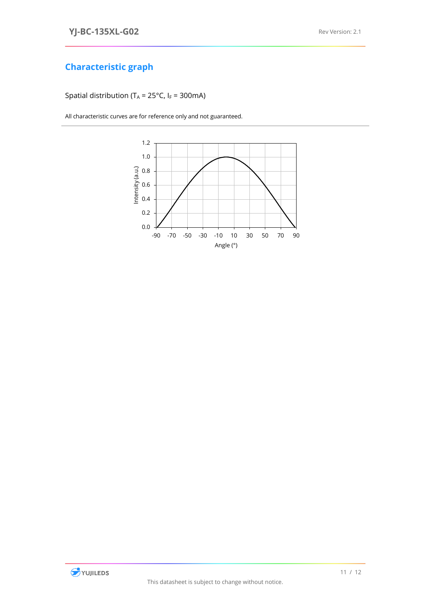# **Characteristic graph**

<span id="page-11-0"></span>Spatial distribution (T<sub>A</sub> = 25°C, I<sub>F</sub> = 300mA)

All characteristic curves are for reference only and not guaranteed.